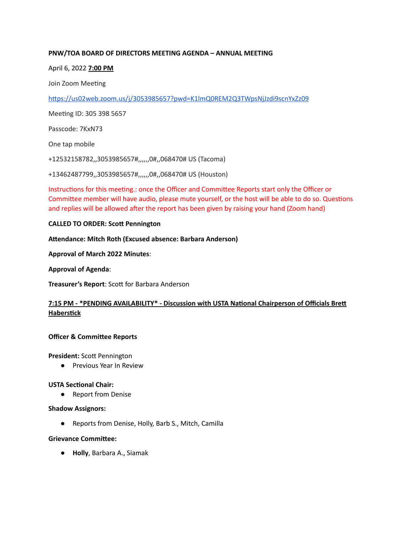# **PNW/TOA BOARD OF DIRECTORS MEETING AGENDA – ANNUAL MEETING**

# April 6, 2022 **7:00 PM**

Join Zoom Meeting

https://us02web.zoom.us/j/3053985657?pwd=K1lmQ0REM2Q3TWpsNjJzdi9scnYxZz09

Meeting ID: 305 398 5657

Passcode: 7KxN73

One tap mobile

+12532158782,,3053985657#,,,,,,0#,,068470# US (Tacoma)

+13462487799,,3053985657#,,,,,,0#,,068470# US (Houston)

Instructions for this meeting.: once the Officer and Committee Reports start only the Officer or Committee member will have audio, please mute yourself, or the host will be able to do so. Questions and replies will be allowed after the report has been given by raising your hand (Zoom hand)

### **CALLED TO ORDER: Scott Pennington**

**Aendance: Mitch Roth (Excused absence: Barbara Anderson)**

**Approval of March 2022 Minutes**:

**Approval of Agenda**:

**Treasurer's Report: Scott for Barbara Anderson** 

# **7:15 PM - \*PENDING AVAILABILITY\* - Discussion with USTA Naonal Chairperson of Officials Bre Haberstick**

# **Officer & Committee Reports**

**President:** Scott Pennington

● Previous Year In Review

# **USTA** Sectional Chair:

● Report from Denise

#### **Shadow Assignors:**

● Reports from Denise, Holly, Barb S., Mitch, Camilla

#### **Grievance Committee:**

● **Holly**, Barbara A., Siamak